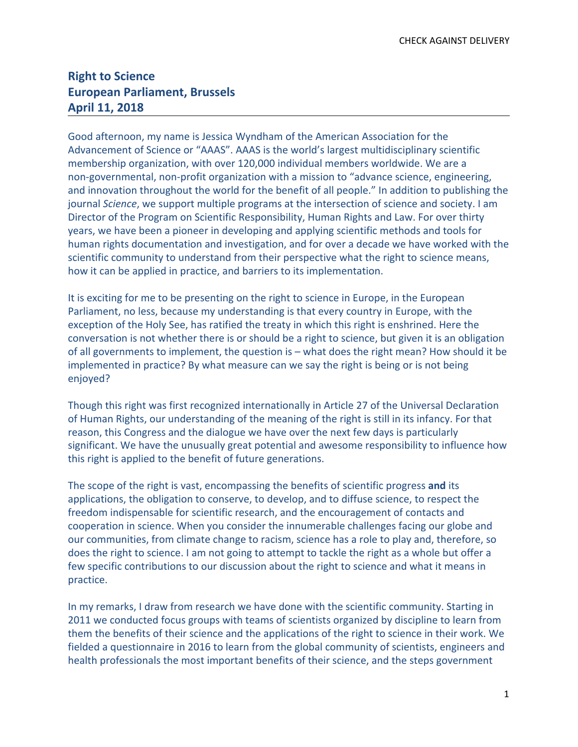## **Right to Science European Parliament, Brussels April 11, 2018**

Good afternoon, my name is Jessica Wyndham of the American Association for the Advancement of Science or "AAAS". AAAS is the world's largest multidisciplinary scientific membership organization, with over 120,000 individual members worldwide. We are a non-governmental, non-profit organization with a mission to "advance science, engineering, and innovation throughout the world for the benefit of all people." In addition to publishing the journal *Science*, we support multiple programs at the intersection of science and society. I am Director of the Program on Scientific Responsibility, Human Rights and Law. For over thirty years, we have been a pioneer in developing and applying scientific methods and tools for human rights documentation and investigation, and for over a decade we have worked with the scientific community to understand from their perspective what the right to science means, how it can be applied in practice, and barriers to its implementation.

It is exciting for me to be presenting on the right to science in Europe, in the European Parliament, no less, because my understanding is that every country in Europe, with the exception of the Holy See, has ratified the treaty in which this right is enshrined. Here the conversation is not whether there is or should be a right to science, but given it is an obligation of all governments to implement, the question is – what does the right mean? How should it be implemented in practice? By what measure can we say the right is being or is not being enjoyed?

Though this right was first recognized internationally in Article 27 of the Universal Declaration of Human Rights, our understanding of the meaning of the right is still in its infancy. For that reason, this Congress and the dialogue we have over the next few days is particularly significant. We have the unusually great potential and awesome responsibility to influence how this right is applied to the benefit of future generations.

The scope of the right is vast, encompassing the benefits of scientific progress **and** its applications, the obligation to conserve, to develop, and to diffuse science, to respect the freedom indispensable for scientific research, and the encouragement of contacts and cooperation in science. When you consider the innumerable challenges facing our globe and our communities, from climate change to racism, science has a role to play and, therefore, so does the right to science. I am not going to attempt to tackle the right as a whole but offer a few specific contributions to our discussion about the right to science and what it means in practice.

In my remarks, I draw from research we have done with the scientific community. Starting in 2011 we conducted focus groups with teams of scientists organized by discipline to learn from them the benefits of their science and the applications of the right to science in their work. We fielded a questionnaire in 2016 to learn from the global community of scientists, engineers and health professionals the most important benefits of their science, and the steps government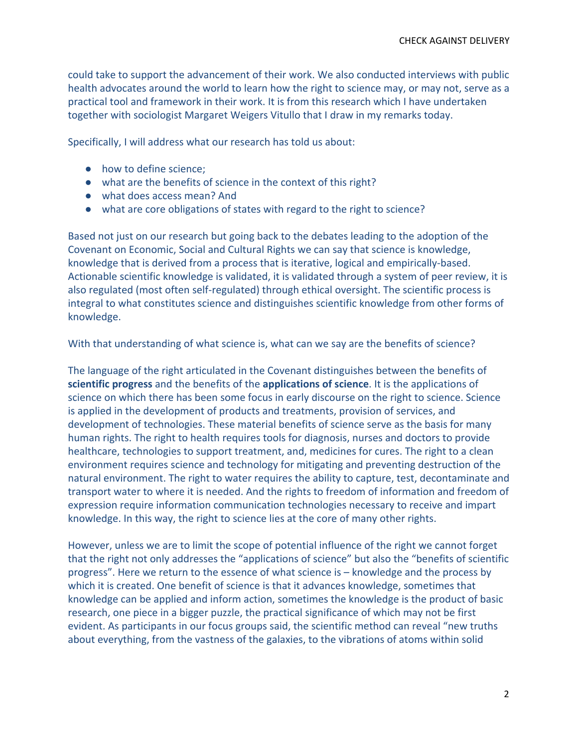could take to support the advancement of their work. We also conducted interviews with public health advocates around the world to learn how the right to science may, or may not, serve as a practical tool and framework in their work. It is from this research which I have undertaken together with sociologist Margaret Weigers Vitullo that I draw in my remarks today.

Specifically, I will address what our research has told us about:

- how to define science;
- what are the benefits of science in the context of this right?
- what does access mean? And
- what are core obligations of states with regard to the right to science?

Based not just on our research but going back to the debates leading to the adoption of the Covenant on Economic, Social and Cultural Rights we can say that science is knowledge, knowledge that is derived from a process that is iterative, logical and empirically-based. Actionable scientific knowledge is validated, it is validated through a system of peer review, it is also regulated (most often self-regulated) through ethical oversight. The scientific process is integral to what constitutes science and distinguishes scientific knowledge from other forms of knowledge.

With that understanding of what science is, what can we say are the benefits of science?

The language of the right articulated in the Covenant distinguishes between the benefits of **scientific progress** and the benefits of the **applications of science**. It is the applications of science on which there has been some focus in early discourse on the right to science. Science is applied in the development of products and treatments, provision of services, and development of technologies. These material benefits of science serve as the basis for many human rights. The right to health requires tools for diagnosis, nurses and doctors to provide healthcare, technologies to support treatment, and, medicines for cures. The right to a clean environment requires science and technology for mitigating and preventing destruction of the natural environment. The right to water requires the ability to capture, test, decontaminate and transport water to where it is needed. And the rights to freedom of information and freedom of expression require information communication technologies necessary to receive and impart knowledge. In this way, the right to science lies at the core of many other rights.

However, unless we are to limit the scope of potential influence of the right we cannot forget that the right not only addresses the "applications of science" but also the "benefits of scientific progress". Here we return to the essence of what science is – knowledge and the process by which it is created. One benefit of science is that it advances knowledge, sometimes that knowledge can be applied and inform action, sometimes the knowledge is the product of basic research, one piece in a bigger puzzle, the practical significance of which may not be first evident. As participants in our focus groups said, the scientific method can reveal "new truths about everything, from the vastness of the galaxies, to the vibrations of atoms within solid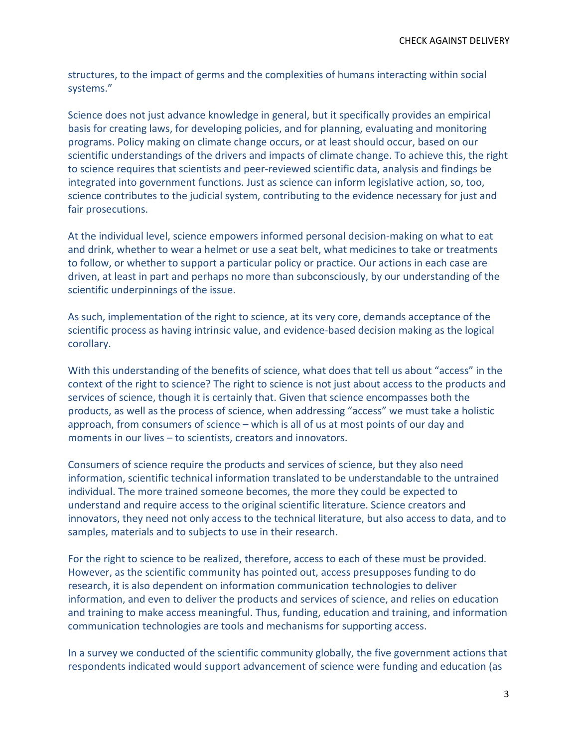structures, to the impact of germs and the complexities of humans interacting within social systems."

Science does not just advance knowledge in general, but it specifically provides an empirical basis for creating laws, for developing policies, and for planning, evaluating and monitoring programs. Policy making on climate change occurs, or at least should occur, based on our scientific understandings of the drivers and impacts of climate change. To achieve this, the right to science requires that scientists and peer-reviewed scientific data, analysis and findings be integrated into government functions. Just as science can inform legislative action, so, too, science contributes to the judicial system, contributing to the evidence necessary for just and fair prosecutions.

At the individual level, science empowers informed personal decision-making on what to eat and drink, whether to wear a helmet or use a seat belt, what medicines to take or treatments to follow, or whether to support a particular policy or practice. Our actions in each case are driven, at least in part and perhaps no more than subconsciously, by our understanding of the scientific underpinnings of the issue.

As such, implementation of the right to science, at its very core, demands acceptance of the scientific process as having intrinsic value, and evidence-based decision making as the logical corollary.

With this understanding of the benefits of science, what does that tell us about "access" in the context of the right to science? The right to science is not just about access to the products and services of science, though it is certainly that. Given that science encompasses both the products, as well as the process of science, when addressing "access" we must take a holistic approach, from consumers of science – which is all of us at most points of our day and moments in our lives – to scientists, creators and innovators.

Consumers of science require the products and services of science, but they also need information, scientific technical information translated to be understandable to the untrained individual. The more trained someone becomes, the more they could be expected to understand and require access to the original scientific literature. Science creators and innovators, they need not only access to the technical literature, but also access to data, and to samples, materials and to subjects to use in their research.

For the right to science to be realized, therefore, access to each of these must be provided. However, as the scientific community has pointed out, access presupposes funding to do research, it is also dependent on information communication technologies to deliver information, and even to deliver the products and services of science, and relies on education and training to make access meaningful. Thus, funding, education and training, and information communication technologies are tools and mechanisms for supporting access.

In a survey we conducted of the scientific community globally, the five government actions that respondents indicated would support advancement of science were funding and education (as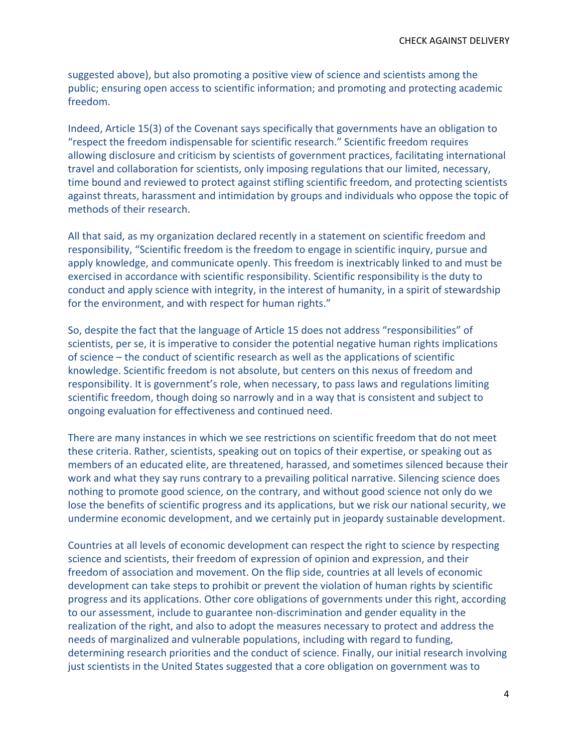suggested above), but also promoting a positive view of science and scientists among the public; ensuring open access to scientific information; and promoting and protecting academic freedom.

Indeed, Article 15(3) of the Covenant says specifically that governments have an obligation to "respect the freedom indispensable for scientific research." Scientific freedom requires allowing disclosure and criticism by scientists of government practices, facilitating international travel and collaboration for scientists, only imposing regulations that our limited, necessary, time bound and reviewed to protect against stifling scientific freedom, and protecting scientists against threats, harassment and intimidation by groups and individuals who oppose the topic of methods of their research.

All that said, as my organization declared recently in a statement on scientific freedom and responsibility, "Scientific freedom is the freedom to engage in scientific inquiry, pursue and apply knowledge, and communicate openly. This freedom is inextricably linked to and must be exercised in accordance with scientific responsibility. Scientific responsibility is the duty to conduct and apply science with integrity, in the interest of humanity, in a spirit of stewardship for the environment, and with respect for human rights."

So, despite the fact that the language of Article 15 does not address "responsibilities" of scientists, per se, it is imperative to consider the potential negative human rights implications of science – the conduct of scientific research as well as the applications of scientific knowledge. Scientific freedom is not absolute, but centers on this nexus of freedom and responsibility. It is government's role, when necessary, to pass laws and regulations limiting scientific freedom, though doing so narrowly and in a way that is consistent and subject to ongoing evaluation for effectiveness and continued need.

There are many instances in which we see restrictions on scientific freedom that do not meet these criteria. Rather, scientists, speaking out on topics of their expertise, or speaking out as members of an educated elite, are threatened, harassed, and sometimes silenced because their work and what they say runs contrary to a prevailing political narrative. Silencing science does nothing to promote good science, on the contrary, and without good science not only do we lose the benefits of scientific progress and its applications, but we risk our national security, we undermine economic development, and we certainly put in jeopardy sustainable development.

Countries at all levels of economic development can respect the right to science by respecting science and scientists, their freedom of expression of opinion and expression, and their freedom of association and movement. On the flip side, countries at all levels of economic development can take steps to prohibit or prevent the violation of human rights by scientific progress and its applications. Other core obligations of governments under this right, according to our assessment, include to guarantee non-discrimination and gender equality in the realization of the right, and also to adopt the measures necessary to protect and address the needs of marginalized and vulnerable populations, including with regard to funding, determining research priorities and the conduct of science. Finally, our initial research involving just scientists in the United States suggested that a core obligation on government was to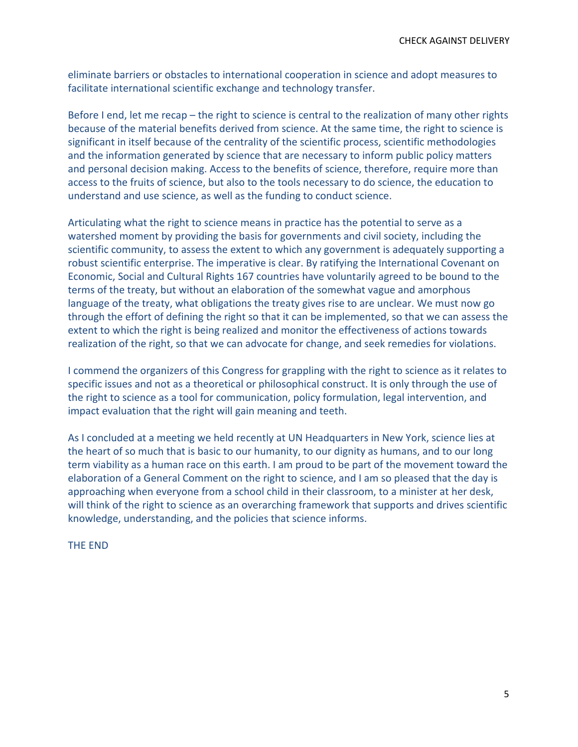eliminate barriers or obstacles to international cooperation in science and adopt measures to facilitate international scientific exchange and technology transfer.

Before I end, let me recap – the right to science is central to the realization of many other rights because of the material benefits derived from science. At the same time, the right to science is significant in itself because of the centrality of the scientific process, scientific methodologies and the information generated by science that are necessary to inform public policy matters and personal decision making. Access to the benefits of science, therefore, require more than access to the fruits of science, but also to the tools necessary to do science, the education to understand and use science, as well as the funding to conduct science.

Articulating what the right to science means in practice has the potential to serve as a watershed moment by providing the basis for governments and civil society, including the scientific community, to assess the extent to which any government is adequately supporting a robust scientific enterprise. The imperative is clear. By ratifying the International Covenant on Economic, Social and Cultural Rights 167 countries have voluntarily agreed to be bound to the terms of the treaty, but without an elaboration of the somewhat vague and amorphous language of the treaty, what obligations the treaty gives rise to are unclear. We must now go through the effort of defining the right so that it can be implemented, so that we can assess the extent to which the right is being realized and monitor the effectiveness of actions towards realization of the right, so that we can advocate for change, and seek remedies for violations.

I commend the organizers of this Congress for grappling with the right to science as it relates to specific issues and not as a theoretical or philosophical construct. It is only through the use of the right to science as a tool for communication, policy formulation, legal intervention, and impact evaluation that the right will gain meaning and teeth.

As I concluded at a meeting we held recently at UN Headquarters in New York, science lies at the heart of so much that is basic to our humanity, to our dignity as humans, and to our long term viability as a human race on this earth. I am proud to be part of the movement toward the elaboration of a General Comment on the right to science, and I am so pleased that the day is approaching when everyone from a school child in their classroom, to a minister at her desk, will think of the right to science as an overarching framework that supports and drives scientific knowledge, understanding, and the policies that science informs.

THE END